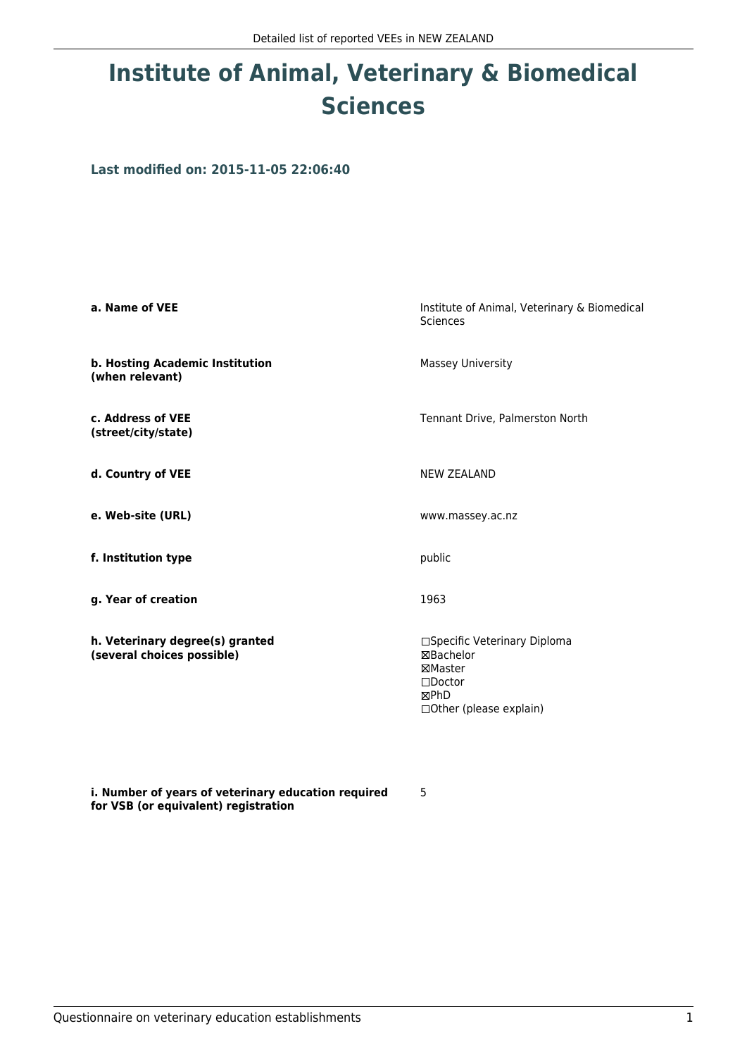## **Institute of Animal, Veterinary & Biomedical Sciences**

**Last modified on: 2015-11-05 22:06:40**

| a. Name of VEE                                                | Institute of Animal, Veterinary & Biomedical<br>Sciences                                                          |
|---------------------------------------------------------------|-------------------------------------------------------------------------------------------------------------------|
| b. Hosting Academic Institution<br>(when relevant)            | Massey University                                                                                                 |
| c. Address of VEE<br>(street/city/state)                      | Tennant Drive, Palmerston North                                                                                   |
| d. Country of VEE                                             | <b>NEW ZEALAND</b>                                                                                                |
| e. Web-site (URL)                                             | www.massey.ac.nz                                                                                                  |
| f. Institution type                                           | public                                                                                                            |
| g. Year of creation                                           | 1963                                                                                                              |
| h. Veterinary degree(s) granted<br>(several choices possible) | □Specific Veterinary Diploma<br>⊠Bachelor<br>⊠Master<br>$\square$ Doctor<br>⊠PhD<br>$\Box$ Other (please explain) |

**i. Number of years of veterinary education required for VSB (or equivalent) registration**

5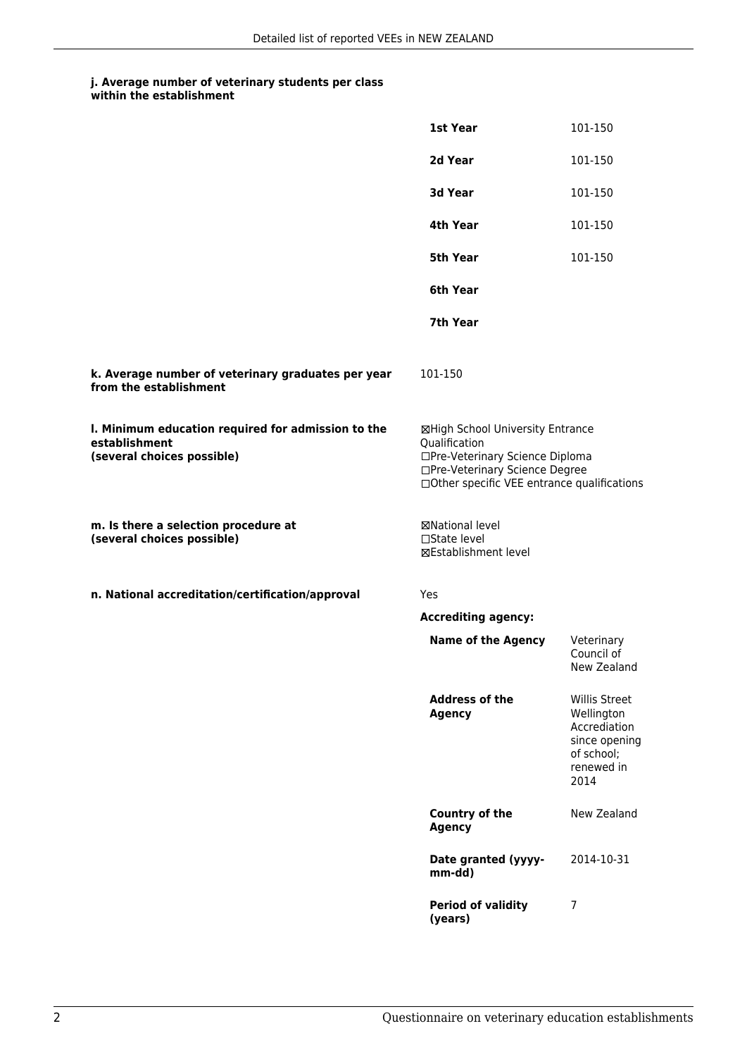## **j. Average number of veterinary students per class**

|                                                                                                   | 1st Year                                                                                                                                                              | 101-150                                                                                          |
|---------------------------------------------------------------------------------------------------|-----------------------------------------------------------------------------------------------------------------------------------------------------------------------|--------------------------------------------------------------------------------------------------|
|                                                                                                   | 2d Year                                                                                                                                                               | 101-150                                                                                          |
|                                                                                                   | 3d Year                                                                                                                                                               | 101-150                                                                                          |
|                                                                                                   | 4th Year                                                                                                                                                              | 101-150                                                                                          |
|                                                                                                   | 5th Year                                                                                                                                                              | 101-150                                                                                          |
|                                                                                                   | 6th Year                                                                                                                                                              |                                                                                                  |
|                                                                                                   | 7th Year                                                                                                                                                              |                                                                                                  |
| k. Average number of veterinary graduates per year<br>from the establishment                      | 101-150                                                                                                                                                               |                                                                                                  |
| I. Minimum education required for admission to the<br>establishment<br>(several choices possible) | ⊠High School University Entrance<br>Qualification<br>□Pre-Veterinary Science Diploma<br>□Pre-Veterinary Science Degree<br>□Other specific VEE entrance qualifications |                                                                                                  |
| m. Is there a selection procedure at<br>(several choices possible)                                | <b>⊠National level</b><br>□State level<br>⊠Establishment level                                                                                                        |                                                                                                  |
| n. National accreditation/certification/approval                                                  | Yes                                                                                                                                                                   |                                                                                                  |
|                                                                                                   | <b>Accrediting agency:</b>                                                                                                                                            |                                                                                                  |
|                                                                                                   | <b>Name of the Agency</b>                                                                                                                                             | Veterinary<br>Council of<br>New Zealand                                                          |
|                                                                                                   | <b>Address of the</b><br><b>Agency</b>                                                                                                                                | Willis Street<br>Wellington<br>Accrediation<br>since opening<br>of school;<br>renewed in<br>2014 |
|                                                                                                   | Country of the<br><b>Agency</b>                                                                                                                                       | New Zealand                                                                                      |
|                                                                                                   | Date granted (yyyy-<br>mm-dd)                                                                                                                                         | 2014-10-31                                                                                       |
|                                                                                                   | <b>Period of validity</b><br>(years)                                                                                                                                  | 7                                                                                                |